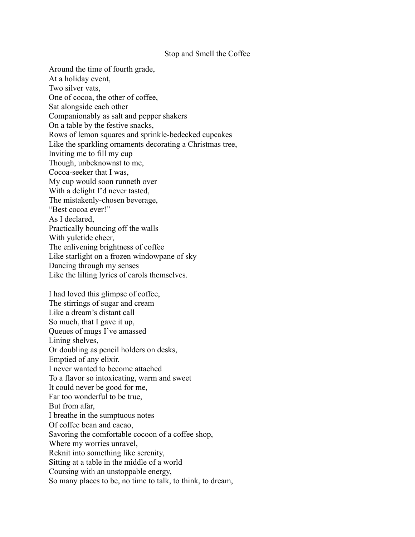## Stop and Smell the Coffee

Around the time of fourth grade, At a holiday event, Two silver vats, One of cocoa, the other of coffee, Sat alongside each other Companionably as salt and pepper shakers On a table by the festive snacks, Rows of lemon squares and sprinkle-bedecked cupcakes Like the sparkling ornaments decorating a Christmas tree, Inviting me to fill my cup Though, unbeknownst to me, Cocoa-seeker that I was, My cup would soon runneth over With a delight I'd never tasted, The mistakenly-chosen beverage, "Best cocoa ever!" As I declared, Practically bouncing off the walls With yuletide cheer, The enlivening brightness of coffee Like starlight on a frozen windowpane of sky Dancing through my senses Like the lilting lyrics of carols themselves. I had loved this glimpse of coffee, The stirrings of sugar and cream Like a dream's distant call So much, that I gave it up, Queues of mugs I've amassed Lining shelves, Or doubling as pencil holders on desks, Emptied of any elixir. I never wanted to become attached To a flavor so intoxicating, warm and sweet It could never be good for me, Far too wonderful to be true, But from afar, I breathe in the sumptuous notes Of coffee bean and cacao, Savoring the comfortable cocoon of a coffee shop, Where my worries unravel,

Reknit into something like serenity,

Sitting at a table in the middle of a world

Coursing with an unstoppable energy,

So many places to be, no time to talk, to think, to dream,